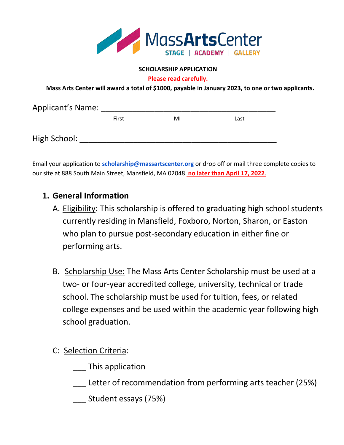

## **SCHOLARSHIP APPLICATION**

**Please read carefully.**

 **Mass Arts Center will award a total of \$1000, payable in January 2023, to one or two applicants.**

| <b>Applicant's Name:</b> |       |    |      |  |  |
|--------------------------|-------|----|------|--|--|
|                          | First | MI | Last |  |  |
| High School:             |       |    |      |  |  |

Email your application to **scholarship@massartscenter.org** or drop off or mail three complete copies to our site at 888 South Main Street, Mansfield, MA 02048 **no later than April 17, 2022**.

## **1. General Information**

- A. Eligibility: This scholarship is offered to graduating high school students currently residing in Mansfield, Foxboro, Norton, Sharon, or Easton who plan to pursue post-secondary education in either fine or performing arts.
- B. Scholarship Use: The Mass Arts Center Scholarship must be used at a two- or four-year accredited college, university, technical or trade school. The scholarship must be used for tuition, fees, or related college expenses and be used within the academic year following high school graduation.
- C: Selection Criteria:
	- \_\_\_ This application
	- Letter of recommendation from performing arts teacher (25%)
	- \_\_\_ Student essays (75%)